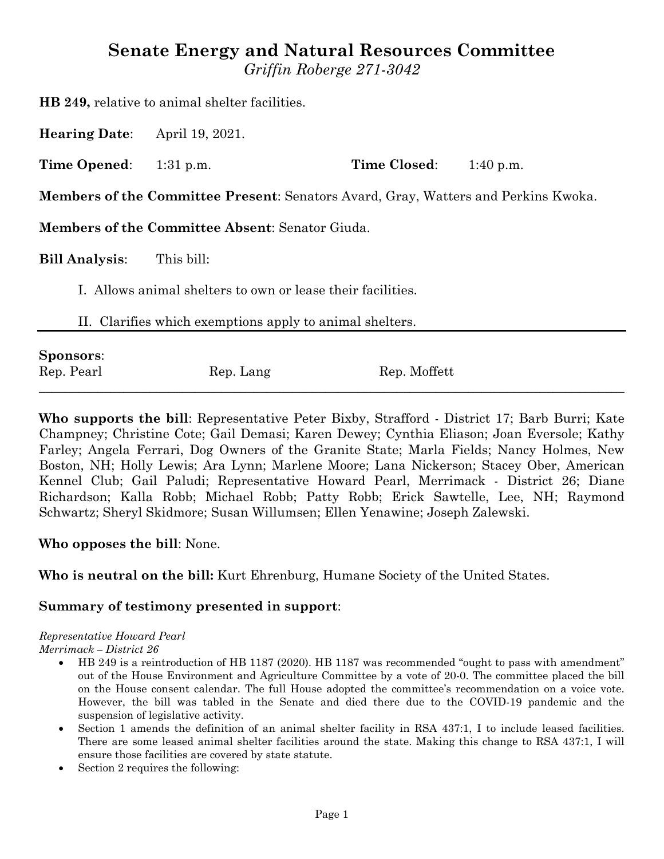# **Senate Energy and Natural Resources Committee**

*Griffin Roberge 271-3042*

**HB 249,** relative to animal shelter facilities.

**Hearing Date**: April 19, 2021.

**Time Opened:** 1:31 p.m. **Time Closed:** 1:40 p.m.

**Members of the Committee Present**: Senators Avard, Gray, Watters and Perkins Kwoka.

**Members of the Committee Absent**: Senator Giuda.

**Bill Analysis**: This bill:

I. Allows animal shelters to own or lease their facilities.

II. Clarifies which exemptions apply to animal shelters.

| <b>Sponsors:</b> |           |              |  |
|------------------|-----------|--------------|--|
| Rep. Pearl       | Rep. Lang | Rep. Moffett |  |

**Who supports the bill**: Representative Peter Bixby, Strafford - District 17; Barb Burri; Kate Champney; Christine Cote; Gail Demasi; Karen Dewey; Cynthia Eliason; Joan Eversole; Kathy Farley; Angela Ferrari, Dog Owners of the Granite State; Marla Fields; Nancy Holmes, New Boston, NH; Holly Lewis; Ara Lynn; Marlene Moore; Lana Nickerson; Stacey Ober, American Kennel Club; Gail Paludi; Representative Howard Pearl, Merrimack - District 26; Diane Richardson; Kalla Robb; Michael Robb; Patty Robb; Erick Sawtelle, Lee, NH; Raymond Schwartz; Sheryl Skidmore; Susan Willumsen; Ellen Yenawine; Joseph Zalewski.

# **Who opposes the bill**: None.

**Who is neutral on the bill:** Kurt Ehrenburg, Humane Society of the United States.

#### **Summary of testimony presented in support**:

# *Representative Howard Pearl*

*Merrimack – District 26*

- HB 249 is a reintroduction of HB 1187 (2020). HB 1187 was recommended "ought to pass with amendment" out of the House Environment and Agriculture Committee by a vote of 20-0. The committee placed the bill on the House consent calendar. The full House adopted the committee's recommendation on a voice vote. However, the bill was tabled in the Senate and died there due to the COVID-19 pandemic and the suspension of legislative activity.
- Section 1 amends the definition of an animal shelter facility in RSA 437:1, I to include leased facilities. There are some leased animal shelter facilities around the state. Making this change to RSA 437:1, I will ensure those facilities are covered by state statute.
- Section 2 requires the following: